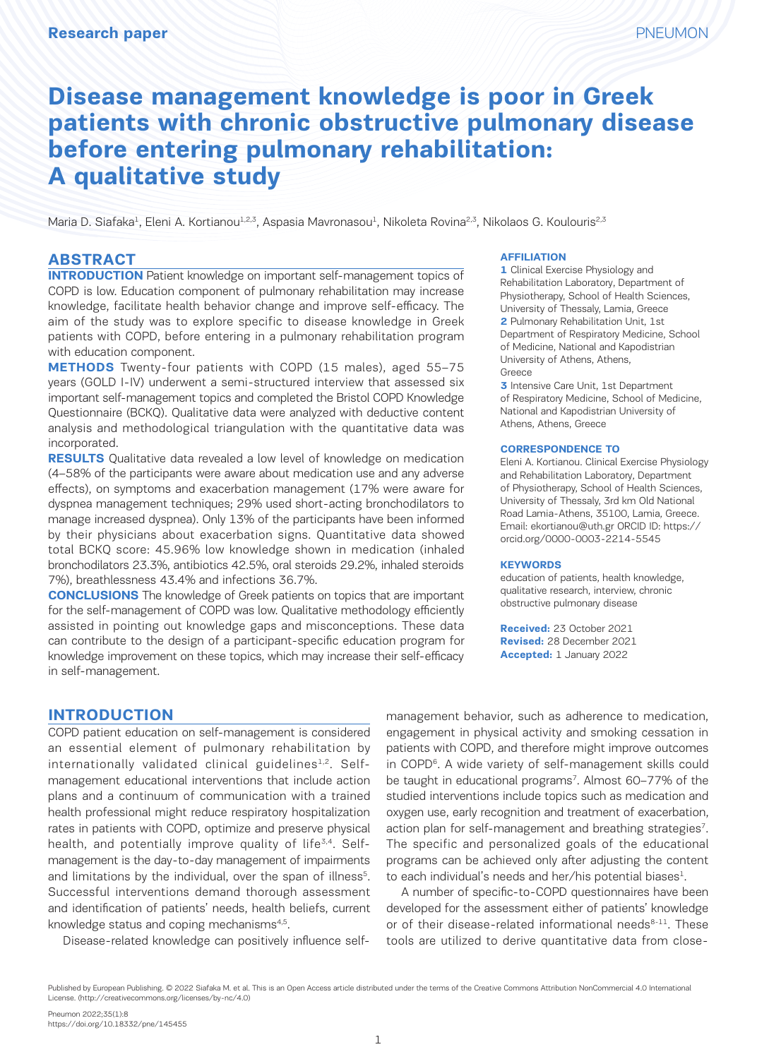# **Disease management knowledge is poor in Greek patients with chronic obstructive pulmonary disease before entering pulmonary rehabilitation: A qualitative study**

Maria D. Siafaka<sup>1</sup>, Eleni A. Kortianou<sup>1,2,3</sup>, Aspasia Mavronasou<sup>1</sup>, Nikoleta Rovina<sup>2,3</sup>, Nikolaos G. Koulouris<sup>2,3</sup>

### **ABSTRACT**

**INTRODUCTION** Patient knowledge on important self-management topics of COPD is low. Education component of pulmonary rehabilitation may increase knowledge, facilitate health behavior change and improve self-efficacy. The aim of the study was to explore specific to disease knowledge in Greek patients with COPD, before entering in a pulmonary rehabilitation program with education component.

**METHODS** Twenty-four patients with COPD (15 males), aged 55–75 years (GOLD I-IV) underwent a semi-structured interview that assessed six important self-management topics and completed the Bristol COPD Knowledge Questionnaire (BCKQ). Qualitative data were analyzed with deductive content analysis and methodological triangulation with the quantitative data was incorporated.

**RESULTS** Qualitative data revealed a low level of knowledge on medication (4–58% of the participants were aware about medication use and any adverse effects), on symptoms and exacerbation management (17% were aware for dyspnea management techniques; 29% used short-acting bronchodilators to manage increased dyspnea). Only 13% of the participants have been informed by their physicians about exacerbation signs. Quantitative data showed total BCKQ score: 45.96% low knowledge shown in medication (inhaled bronchodilators 23.3%, antibiotics 42.5%, oral steroids 29.2%, inhaled steroids 7%), breathlessness 43.4% and infections 36.7%.

**CONCLUSIONS** The knowledge of Greek patients on topics that are important for the self-management of COPD was low. Qualitative methodology efficiently assisted in pointing out knowledge gaps and misconceptions. These data can contribute to the design of a participant-specific education program for knowledge improvement on these topics, which may increase their self-efficacy in self-management.

#### **AFFILIATION**

**1** Clinical Exercise Physiology and Rehabilitation Laboratory, Department of Physiotherapy, School of Health Sciences, University of Thessaly, Lamia, Greece **2** Pulmonary Rehabilitation Unit, 1st Department of Respiratory Medicine, School of Medicine, National and Kapodistrian University of Athens, Athens, Greece

**3** Intensive Care Unit, 1st Department of Respiratory Medicine, School of Medicine, National and Kapodistrian University of Athens, Athens, Greece

#### **CORRESPONDENCE TO**

Eleni A. Kortianou. Clinical Exercise Physiology and Rehabilitation Laboratory, Department of Physiotherapy, School of Health Sciences, University of Thessaly, 3rd km Old National Road Lamia-Athens, 35100, Lamia, Greece. Email: ekortianou@uth.gr ORCID ID: https:// orcid.org/0000-0003-2214-5545

#### **KEYWORDS**

education of patients, health knowledge, qualitative research, interview, chronic obstructive pulmonary disease

**Received:** 23 October 2021 **Revised:** 28 December 2021 **Accepted:** 1 January 2022

## **INTRODUCTION**

COPD patient education on self-management is considered an essential element of pulmonary rehabilitation by internationally validated clinical guidelines<sup>1,2</sup>. Selfmanagement educational interventions that include action plans and a continuum of communication with a trained health professional might reduce respiratory hospitalization rates in patients with COPD, optimize and preserve physical health, and potentially improve quality of life<sup>3,4</sup>. Selfmanagement is the day-to-day management of impairments and limitations by the individual, over the span of illness<sup>5</sup>. Successful interventions demand thorough assessment and identification of patients' needs, health beliefs, current knowledge status and coping mechanisms<sup>4,5</sup>.

Disease-related knowledge can positively influence self-

management behavior, such as adherence to medication, engagement in physical activity and smoking cessation in patients with COPD, and therefore might improve outcomes in COPD<sup>6</sup>. A wide variety of self-management skills could be taught in educational programs<sup>7</sup>. Almost 60-77% of the studied interventions include topics such as medication and oxygen use, early recognition and treatment of exacerbation, action plan for self-management and breathing strategies<sup>7</sup>. The specific and personalized goals of the educational programs can be achieved only after adjusting the content to each individual's needs and her/his potential biases<sup>1</sup>.

A number of specific-to-COPD questionnaires have been developed for the assessment either of patients' knowledge or of their disease-related informational needs $8-11$ . These tools are utilized to derive quantitative data from close-

Published by European Publishing. © 2022 Siafaka M. et al. This is an Open Access article distributed under the terms of the Creative Commons Attribution NonCommercial 4.0 International License. (http://creativecommons.org/licenses/by-nc/4.0)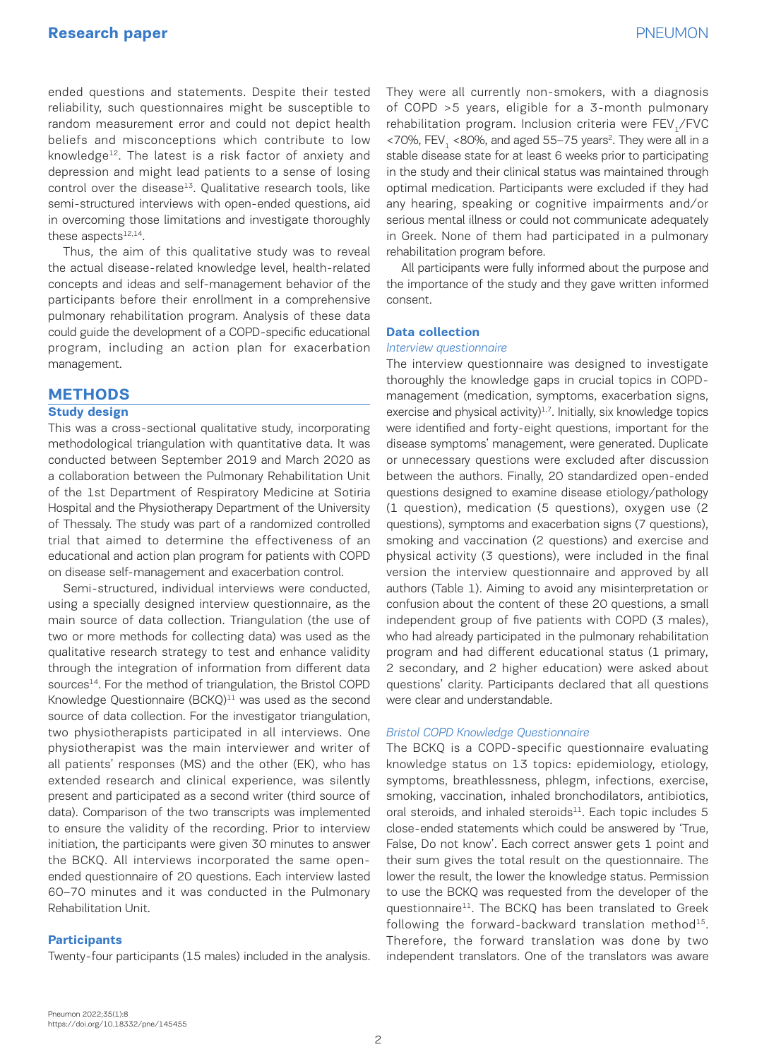ended questions and statements. Despite their tested reliability, such questionnaires might be susceptible to random measurement error and could not depict health beliefs and misconceptions which contribute to low knowledge $12$ . The latest is a risk factor of anxiety and depression and might lead patients to a sense of losing control over the disease<sup>13</sup>. Qualitative research tools, like semi-structured interviews with open-ended questions, aid in overcoming those limitations and investigate thoroughly these aspects $12,14$ .

Thus, the aim of this qualitative study was to reveal the actual disease-related knowledge level, health-related concepts and ideas and self-management behavior of the participants before their enrollment in a comprehensive pulmonary rehabilitation program. Analysis of these data could guide the development of a COPD-specific educational program, including an action plan for exacerbation management.

### **METHODS**

#### **Study design**

This was a cross-sectional qualitative study, incorporating methodological triangulation with quantitative data. It was conducted between September 2019 and March 2020 as a collaboration between the Pulmonary Rehabilitation Unit of the 1st Department of Respiratory Medicine at Sotiria Hospital and the Physiotherapy Department of the University of Thessaly. The study was part of a randomized controlled trial that aimed to determine the effectiveness of an educational and action plan program for patients with COPD on disease self-management and exacerbation control.

Semi-structured, individual interviews were conducted, using a specially designed interview questionnaire, as the main source of data collection. Triangulation (the use of two or more methods for collecting data) was used as the qualitative research strategy to test and enhance validity through the integration of information from different data sources<sup>14</sup>. For the method of triangulation, the Bristol COPD Knowledge Questionnaire  $(BCKQ)^{11}$  was used as the second source of data collection. For the investigator triangulation, two physiotherapists participated in all interviews. One physiotherapist was the main interviewer and writer of all patients' responses (MS) and the other (EK), who has extended research and clinical experience, was silently present and participated as a second writer (third source of data). Comparison of the two transcripts was implemented to ensure the validity of the recording. Prior to interview initiation, the participants were given 30 minutes to answer the BCKQ. All interviews incorporated the same openended questionnaire of 20 questions. Each interview lasted 60–70 minutes and it was conducted in the Pulmonary Rehabilitation Unit.

#### **Participants**

Twenty-four participants (15 males) included in the analysis.

They were all currently non-smokers, with a diagnosis of COPD >5 years, eligible for a 3-month pulmonary rehabilitation program. Inclusion criteria were FEV,/FVC  $<$ 70%, FEV,  $<$ 80%, and aged 55–75 years<sup>2</sup>. They were all in a stable disease state for at least 6 weeks prior to participating in the study and their clinical status was maintained through optimal medication. Participants were excluded if they had any hearing, speaking or cognitive impairments and/or serious mental illness or could not communicate adequately in Greek. None of them had participated in a pulmonary rehabilitation program before.

All participants were fully informed about the purpose and the importance of the study and they gave written informed consent.

### **Data collection**

#### *Interview questionnaire*

The interview questionnaire was designed to investigate thoroughly the knowledge gaps in crucial topics in COPDmanagement (medication, symptoms, exacerbation signs, exercise and physical activity) $1,7$ . Initially, six knowledge topics were identified and forty-eight questions, important for the disease symptoms' management, were generated. Duplicate or unnecessary questions were excluded after discussion between the authors. Finally, 20 standardized open-ended questions designed to examine disease etiology/pathology (1 question), medication (5 questions), oxygen use (2 questions), symptoms and exacerbation signs (7 questions), smoking and vaccination (2 questions) and exercise and physical activity (3 questions), were included in the final version the interview questionnaire and approved by all authors (Table 1). Aiming to avoid any misinterpretation or confusion about the content of these 20 questions, a small independent group of five patients with COPD (3 males), who had already participated in the pulmonary rehabilitation program and had different educational status (1 primary, 2 secondary, and 2 higher education) were asked about questions' clarity. Participants declared that all questions were clear and understandable.

#### *Bristol COPD Knowledge Questionnaire*

The BCKQ is a COPD-specific questionnaire evaluating knowledge status on 13 topics: epidemiology, etiology, symptoms, breathlessness, phlegm, infections, exercise, smoking, vaccination, inhaled bronchodilators, antibiotics, oral steroids, and inhaled steroids $^{11}$ . Each topic includes 5 close-ended statements which could be answered by 'True, False, Do not know'. Each correct answer gets 1 point and their sum gives the total result on the questionnaire. The lower the result, the lower the knowledge status. Permission to use the BCKQ was requested from the developer of the questionnaire<sup>11</sup>. The BCKQ has been translated to Greek following the forward-backward translation method<sup>15</sup>. Therefore, the forward translation was done by two independent translators. One of the translators was aware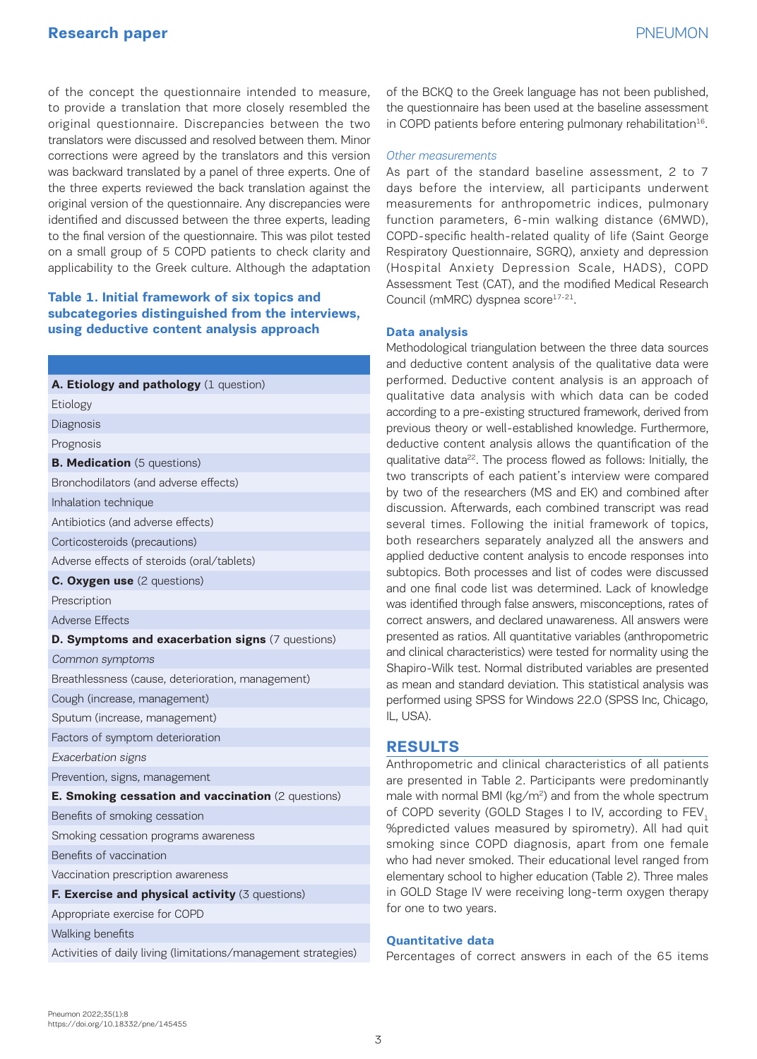# **Research paper** PNEUMON

of the concept the questionnaire intended to measure, to provide a translation that more closely resembled the original questionnaire. Discrepancies between the two translators were discussed and resolved between them. Minor corrections were agreed by the translators and this version was backward translated by a panel of three experts. One of the three experts reviewed the back translation against the original version of the questionnaire. Any discrepancies were identified and discussed between the three experts, leading to the final version of the questionnaire. This was pilot tested on a small group of 5 COPD patients to check clarity and applicability to the Greek culture. Although the adaptation

## **Table 1. Initial framework of six topics and subcategories distinguished from the interviews, using deductive content analysis approach**

| A. Etiology and pathology (1 question)                         |
|----------------------------------------------------------------|
| Etiology                                                       |
| Diagnosis                                                      |
| Prognosis                                                      |
| <b>B. Medication</b> (5 questions)                             |
| Bronchodilators (and adverse effects)                          |
| Inhalation technique                                           |
| Antibiotics (and adverse effects)                              |
| Corticosteroids (precautions)                                  |
| Adverse effects of steroids (oral/tablets)                     |
| C. Oxygen use (2 questions)                                    |
| Prescription                                                   |
| <b>Adverse Effects</b>                                         |
| D. Symptoms and exacerbation signs (7 questions)               |
| Common symptoms                                                |
| Breathlessness (cause, deterioration, management)              |
| Cough (increase, management)                                   |
| Sputum (increase, management)                                  |
| Factors of symptom deterioration                               |
| Exacerbation signs                                             |
| Prevention, signs, management                                  |
| E. Smoking cessation and vaccination (2 questions)             |
| Benefits of smoking cessation                                  |
| Smoking cessation programs awareness                           |
| Benefits of vaccination                                        |
| Vaccination prescription awareness                             |
| F. Exercise and physical activity (3 questions)                |
| Appropriate exercise for COPD                                  |
| Walking benefits                                               |
| Activities of daily living (limitations/management strategies) |

of the BCKQ to the Greek language has not been published, the questionnaire has been used at the baseline assessment in COPD patients before entering pulmonary rehabilitation<sup>16</sup>.

#### *Other measurements*

As part of the standard baseline assessment, 2 to 7 days before the interview, all participants underwent measurements for anthropometric indices, pulmonary function parameters, 6-min walking distance (6MWD), COPD-specific health-related quality of life (Saint George Respiratory Questionnaire, SGRQ), anxiety and depression (Hospital Anxiety Depression Scale, HADS), COPD Assessment Test (CAT), and the modified Medical Research Council (mMRC) dyspnea score<sup>17-21</sup>.

#### **Data analysis**

Methodological triangulation between the three data sources and deductive content analysis of the qualitative data were performed. Deductive content analysis is an approach of qualitative data analysis with which data can be coded according to a pre-existing structured framework, derived from previous theory or well-established knowledge. Furthermore, deductive content analysis allows the quantification of the qualitative data<sup>22</sup>. The process flowed as follows: Initially, the two transcripts of each patient's interview were compared by two of the researchers (MS and EK) and combined after discussion. Afterwards, each combined transcript was read several times. Following the initial framework of topics, both researchers separately analyzed all the answers and applied deductive content analysis to encode responses into subtopics. Both processes and list of codes were discussed and one final code list was determined. Lack of knowledge was identified through false answers, misconceptions, rates of correct answers, and declared unawareness. All answers were presented as ratios. All quantitative variables (anthropometric and clinical characteristics) were tested for normality using the Shapiro-Wilk test. Normal distributed variables are presented as mean and standard deviation. This statistical analysis was performed using SPSS for Windows 22.0 (SPSS Inc, Chicago, IL, USA).

### **RESULTS**

Anthropometric and clinical characteristics of all patients are presented in Table 2. Participants were predominantly male with normal BMI (kg/m<sup>2</sup>) and from the whole spectrum of COPD severity (GOLD Stages I to IV, according to FEV, %predicted values measured by spirometry). All had quit smoking since COPD diagnosis, apart from one female who had never smoked. Their educational level ranged from elementary school to higher education (Table 2). Three males in GOLD Stage IV were receiving long-term oxygen therapy for one to two years.

### **Quantitative data**

Percentages of correct answers in each of the 65 items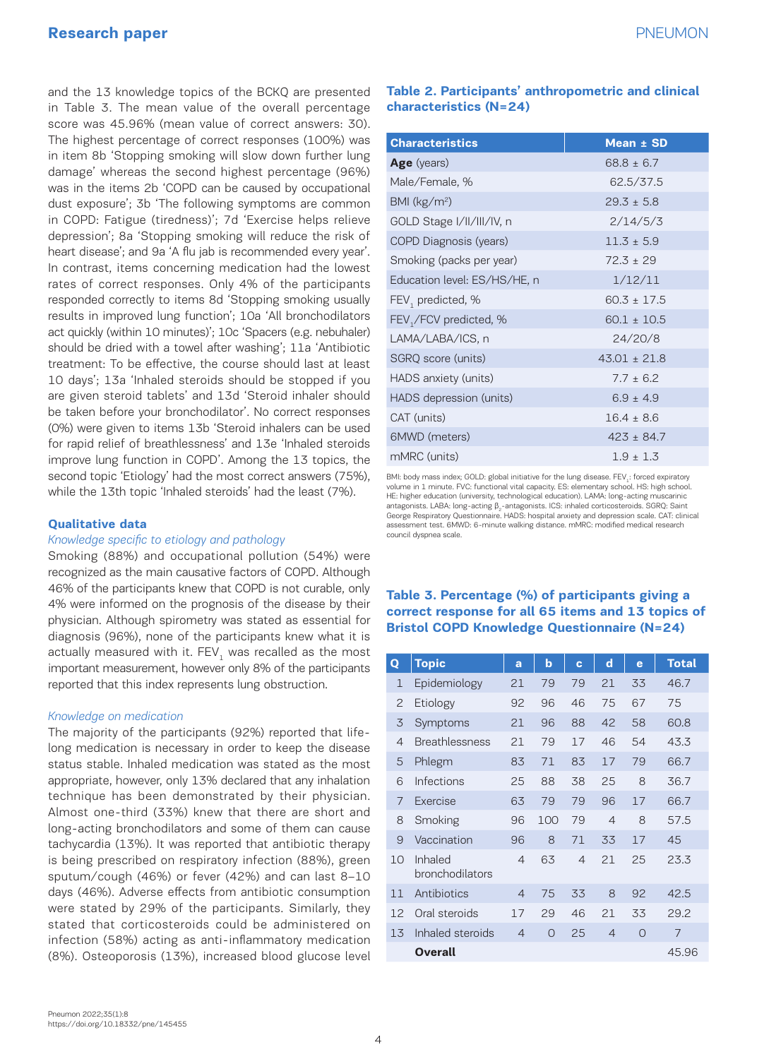# **Research paper** PNEUMON

and the 13 knowledge topics of the BCKQ are presented in Table 3. The mean value of the overall percentage score was 45.96% (mean value of correct answers: 30). The highest percentage of correct responses (100%) was in item 8b 'Stopping smoking will slow down further lung damage' whereas the second highest percentage (96%) was in the items 2b 'COPD can be caused by occupational dust exposure'; 3b 'The following symptoms are common in COPD: Fatigue (tiredness)'; 7d 'Exercise helps relieve depression'; 8a 'Stopping smoking will reduce the risk of heart disease'; and 9a 'A flu jab is recommended every year'. In contrast, items concerning medication had the lowest rates of correct responses. Only 4% of the participants responded correctly to items 8d 'Stopping smoking usually results in improved lung function'; 10a 'All bronchodilators act quickly (within 10 minutes)'; 10c 'Spacers (e.g. nebuhaler) should be dried with a towel after washing'; 11a 'Antibiotic treatment: To be effective, the course should last at least 10 days'; 13a 'Inhaled steroids should be stopped if you are given steroid tablets' and 13d 'Steroid inhaler should be taken before your bronchodilator'. No correct responses (0%) were given to items 13b 'Steroid inhalers can be used for rapid relief of breathlessness' and 13e 'Inhaled steroids improve lung function in COPD'. Among the 13 topics, the second topic 'Etiology' had the most correct answers (75%), while the 13th topic 'Inhaled steroids' had the least (7%).

### **Qualitative data**

### *Knowledge specific to etiology and pathology*

Smoking (88%) and occupational pollution (54%) were recognized as the main causative factors of COPD. Although 46% of the participants knew that COPD is not curable, only 4% were informed on the prognosis of the disease by their physician. Although spirometry was stated as essential for diagnosis (96%), none of the participants knew what it is actually measured with it. FEV, was recalled as the most important measurement, however only 8% of the participants reported that this index represents lung obstruction.

#### *Knowledge on medication*

The majority of the participants (92%) reported that lifelong medication is necessary in order to keep the disease status stable. Inhaled medication was stated as the most appropriate, however, only 13% declared that any inhalation technique has been demonstrated by their physician. Almost one-third (33%) knew that there are short and long-acting bronchodilators and some of them can cause tachycardia (13%). It was reported that antibiotic therapy is being prescribed on respiratory infection (88%), green sputum/cough (46%) or fever (42%) and can last 8–10 days (46%). Adverse effects from antibiotic consumption were stated by 29% of the participants. Similarly, they stated that corticosteroids could be administered on infection (58%) acting as anti-inflammatory medication (8%). Osteoporosis (13%), increased blood glucose level

# **Table 2. Participants' anthropometric and clinical characteristics (N=24)**

| <b>Characteristics</b>       | Mean ± SD        |
|------------------------------|------------------|
| <b>Age</b> (years)           | $68.8 \pm 6.7$   |
| Male/Female, %               | 62.5/37.5        |
| BMI ( $\text{kg/m}^2$ )      | $29.3 \pm 5.8$   |
| GOLD Stage I/II/III/IV, n    | 2/14/5/3         |
| COPD Diagnosis (years)       | $11.3 \pm 5.9$   |
| Smoking (packs per year)     | $72.3 \pm 29$    |
| Education level: ES/HS/HE, n | 1/12/11          |
| FEV, predicted, %            | $60.3 \pm 17.5$  |
| FEV,/FCV predicted, %        | $60.1 \pm 10.5$  |
| LAMA/LABA/ICS, n             | 24/20/8          |
| SGRQ score (units)           | $43.01 \pm 21.8$ |
| HADS anxiety (units)         | $7.7 + 6.2$      |
| HADS depression (units)      | $6.9 \pm 4.9$    |
| CAT (units)                  | $16.4 + 8.6$     |
| 6MWD (meters)                | $423 \pm 84.7$   |
| mMRC (units)                 | $1.9 \pm 1.3$    |

BMI: body mass index; GOLD: global initiative for the lung disease. FEV .: forced expiratory volume in 1 minute. FVC: functional vital capacity. ES: elementary school. HS: high school. HE: higher education (university, technological education). LAMA: long-acting muscarinic antagonists. LABA: long-acting  $β_2$ -antagonists. ICS: inhaled corticosteroids. SGRQ: Saint George Respiratory Questionnaire. HADS: hospital anxiety and depression scale. CAT: clinical assessment test. 6MWD: 6-minute walking distance. mMRC: modified medical research council dyspnea scale.

# **Table 3. Percentage (%) of participants giving a correct response for all 65 items and 13 topics of Bristol COPD Knowledge Questionnaire (N=24)**

| Q              | <b>Topic</b>               | a              | $\mathbf b$ | $\mathbf{c}$   | $\mathbf d$    | e        | <b>Total</b> |
|----------------|----------------------------|----------------|-------------|----------------|----------------|----------|--------------|
| $\mathbf{1}$   | Epidemiology               | 21             | 79          | 79             | 21             | 33       | 46.7         |
| $\overline{c}$ | Etiology                   | 92             | 96          | 46             | 75             | 67       | 75           |
| 3              | Symptoms                   | 21             | 96          | 88             | 42             | 58       | 60.8         |
| 4              | <b>Breathlessness</b>      | 21             | 79          | 17             | 46             | 54       | 43.3         |
| 5              | Phlegm                     | 83             | 71          | 83             | 17             | 79       | 66.7         |
| 6              | Infections                 | 25             | 88          | 38             | 25             | 8        | 36.7         |
| 7              | <b>Exercise</b>            | 63             | 79          | 79             | 96             | 17       | 66.7         |
| 8              | Smoking                    | 96             | 100         | 79             | $\overline{4}$ | 8        | 57.5         |
| 9              | Vaccination                | 96             | 8           | 71             | 33             | 17       | 45           |
| 10             | Inhaled<br>bronchodilators | $\overline{4}$ | 63          | $\overline{4}$ | 21             | 25       | 23.3         |
| 11             | Antibiotics                | $\overline{4}$ | 75          | 33             | 8              | 92       | 42.5         |
| 12             | Oral steroids              | 17             | 29          | 46             | 21             | 33       | 29.2         |
| 13             | Inhaled steroids           | $\overline{4}$ | $\Omega$    | 25             | $\overline{4}$ | $\Omega$ | 7            |
|                | Overall                    |                |             |                |                |          | 45.96        |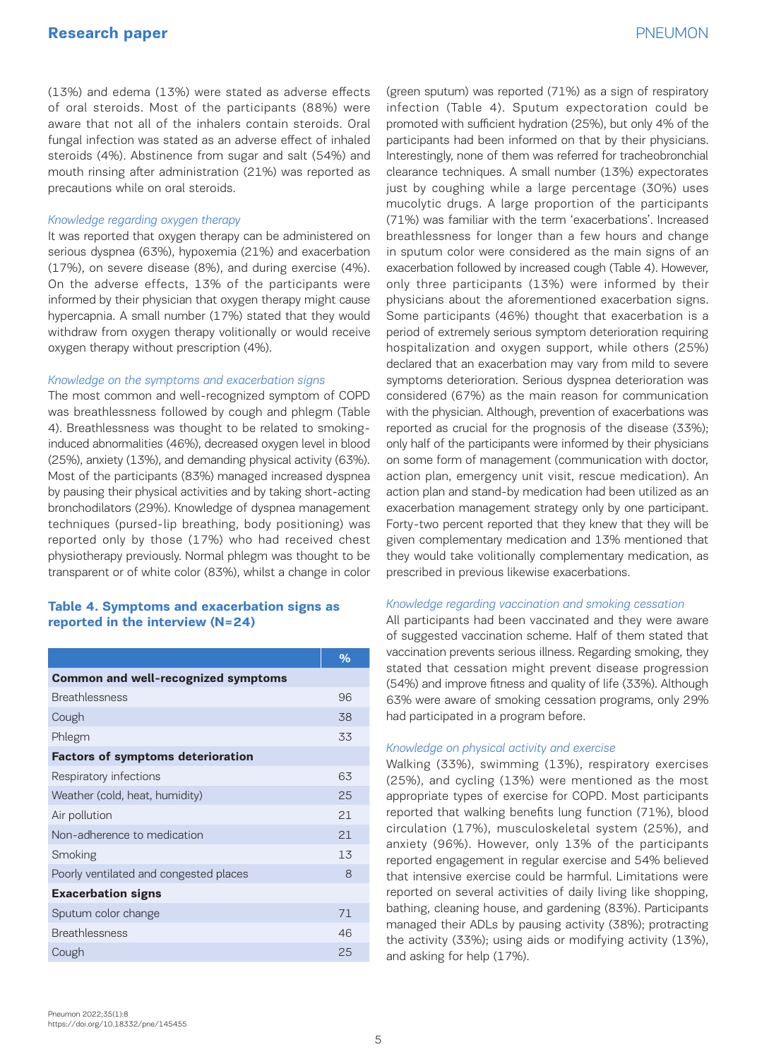(13%) and edema (13%) were stated as adverse effects of oral steroids. Most of the participants (88%) were aware that not all of the inhalers contain steroids. Oral fungal infection was stated as an adverse effect of inhaled steroids (4%). Abstinence from sugar and salt (54%) and mouth rinsing after administration (21%) was reported as precautions while on oral steroids.

### *Knowledge regarding oxygen therapy*

It was reported that oxygen therapy can be administered on serious dyspnea (63%), hypoxemia (21%) and exacerbation (17%), on severe disease (8%), and during exercise (4%). On the adverse effects, 13% of the participants were informed by their physician that oxygen therapy might cause hypercapnia. A small number (17%) stated that they would withdraw from oxygen therapy volitionally or would receive oxygen therapy without prescription (4%).

### *Knowledge on the symptoms and exacerbation signs*

The most common and well-recognized symptom of COPD was breathlessness followed by cough and phlegm (Table 4). Breathlessness was thought to be related to smokinginduced abnormalities (46%), decreased oxygen level in blood (25%), anxiety (13%), and demanding physical activity (63%). Most of the participants (83%) managed increased dyspnea by pausing their physical activities and by taking short-acting bronchodilators (29%). Knowledge of dyspnea management techniques (pursed-lip breathing, body positioning) was reported only by those (17%) who had received chest physiotherapy previously. Normal phlegm was thought to be transparent or of white color (83%), whilst a change in color

## **Table 4. Symptoms and exacerbation signs as reported in the interview (N=24)**

|                                            | $\%$ |  |  |  |  |  |
|--------------------------------------------|------|--|--|--|--|--|
| <b>Common and well-recognized symptoms</b> |      |  |  |  |  |  |
| <b>Breathlessness</b>                      | 96   |  |  |  |  |  |
| Cough                                      | 38   |  |  |  |  |  |
| Phlegm                                     | 33   |  |  |  |  |  |
| <b>Factors of symptoms deterioration</b>   |      |  |  |  |  |  |
| Respiratory infections                     | 63   |  |  |  |  |  |
| Weather (cold, heat, humidity)             | 25   |  |  |  |  |  |
| Air pollution                              | 21   |  |  |  |  |  |
| Non-adherence to medication                | 21   |  |  |  |  |  |
| Smoking                                    | 1.3  |  |  |  |  |  |
| Poorly ventilated and congested places     | 8    |  |  |  |  |  |
| <b>Exacerbation signs</b>                  |      |  |  |  |  |  |
| Sputum color change                        | 71   |  |  |  |  |  |
| <b>Breathlessness</b>                      | 46   |  |  |  |  |  |
| Cough                                      | 25   |  |  |  |  |  |
|                                            |      |  |  |  |  |  |

(green sputum) was reported (71%) as a sign of respiratory infection (Table 4). Sputum expectoration could be promoted with sufficient hydration (25%), but only 4% of the participants had been informed on that by their physicians. Interestingly, none of them was referred for tracheobronchial clearance techniques. A small number (13%) expectorates just by coughing while a large percentage (30%) uses mucolytic drugs. A large proportion of the participants (71%) was familiar with the term 'exacerbations'. Increased breathlessness for longer than a few hours and change in sputum color were considered as the main signs of an exacerbation followed by increased cough (Table 4). However, only three participants (13%) were informed by their physicians about the aforementioned exacerbation signs. Some participants (46%) thought that exacerbation is a period of extremely serious symptom deterioration requiring hospitalization and oxygen support, while others (25%) declared that an exacerbation may vary from mild to severe symptoms deterioration. Serious dyspnea deterioration was considered (67%) as the main reason for communication with the physician. Although, prevention of exacerbations was reported as crucial for the prognosis of the disease (33%); only half of the participants were informed by their physicians on some form of management (communication with doctor, action plan, emergency unit visit, rescue medication). An action plan and stand-by medication had been utilized as an exacerbation management strategy only by one participant. Forty-two percent reported that they knew that they will be given complementary medication and 13% mentioned that they would take volitionally complementary medication, as prescribed in previous likewise exacerbations.

#### *Knowledge regarding vaccination and smoking cessation*

All participants had been vaccinated and they were aware of suggested vaccination scheme. Half of them stated that vaccination prevents serious illness. Regarding smoking, they stated that cessation might prevent disease progression (54%) and improve fitness and quality of life (33%). Although 63% were aware of smoking cessation programs, only 29% had participated in a program before.

#### *Knowledge on physical activity and exercise*

Walking (33%), swimming (13%), respiratory exercises (25%), and cycling (13%) were mentioned as the most appropriate types of exercise for COPD. Most participants reported that walking benefits lung function (71%), blood circulation (17%), musculoskeletal system (25%), and anxiety (96%). However, only 13% of the participants reported engagement in regular exercise and 54% believed that intensive exercise could be harmful. Limitations were reported on several activities of daily living like shopping, bathing, cleaning house, and gardening (83%). Participants managed their ADLs by pausing activity (38%); protracting the activity (33%); using aids or modifying activity (13%), and asking for help (17%).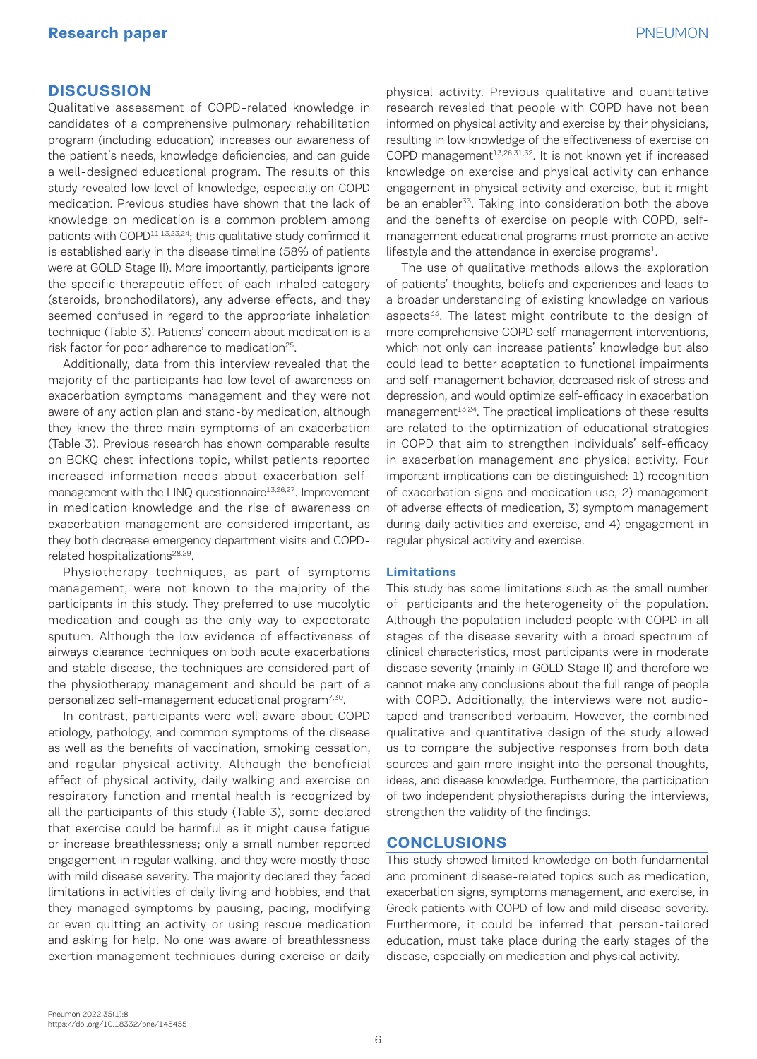# **DISCUSSION**

Qualitative assessment of COPD-related knowledge in candidates of a comprehensive pulmonary rehabilitation program (including education) increases our awareness of the patient's needs, knowledge deficiencies, and can guide a well-designed educational program. The results of this study revealed low level of knowledge, especially on COPD medication. Previous studies have shown that the lack of knowledge on medication is a common problem among patients with COPD<sup>11,13,23,24</sup>; this qualitative study confirmed it is established early in the disease timeline (58% of patients were at GOLD Stage II). More importantly, participants ignore the specific therapeutic effect of each inhaled category (steroids, bronchodilators), any adverse effects, and they seemed confused in regard to the appropriate inhalation technique (Table 3). Patients' concern about medication is a risk factor for poor adherence to medication<sup>25</sup>.

Additionally, data from this interview revealed that the majority of the participants had low level of awareness on exacerbation symptoms management and they were not aware of any action plan and stand-by medication, although they knew the three main symptoms of an exacerbation (Table 3). Previous research has shown comparable results on BCKQ chest infections topic, whilst patients reported increased information needs about exacerbation selfmanagement with the LINQ questionnaire<sup>13,26,27</sup>. Improvement in medication knowledge and the rise of awareness on exacerbation management are considered important, as they both decrease emergency department visits and COPDrelated hospitalizations<sup>28,29</sup>.

Physiotherapy techniques, as part of symptoms management, were not known to the majority of the participants in this study. They preferred to use mucolytic medication and cough as the only way to expectorate sputum. Although the low evidence of effectiveness of airways clearance techniques on both acute exacerbations and stable disease, the techniques are considered part of the physiotherapy management and should be part of a personalized self-management educational program7,30.

In contrast, participants were well aware about COPD etiology, pathology, and common symptoms of the disease as well as the benefits of vaccination, smoking cessation, and regular physical activity. Although the beneficial effect of physical activity, daily walking and exercise on respiratory function and mental health is recognized by all the participants of this study (Table 3), some declared that exercise could be harmful as it might cause fatigue or increase breathlessness; only a small number reported engagement in regular walking, and they were mostly those with mild disease severity. The majority declared they faced limitations in activities of daily living and hobbies, and that they managed symptoms by pausing, pacing, modifying or even quitting an activity or using rescue medication and asking for help. No one was aware of breathlessness exertion management techniques during exercise or daily

physical activity. Previous qualitative and quantitative research revealed that people with COPD have not been informed on physical activity and exercise by their physicians, resulting in low knowledge of the effectiveness of exercise on COPD management<sup>13,26,31,32</sup>. It is not known yet if increased knowledge on exercise and physical activity can enhance engagement in physical activity and exercise, but it might be an enabler<sup>33</sup>. Taking into consideration both the above and the benefits of exercise on people with COPD, selfmanagement educational programs must promote an active lifestyle and the attendance in exercise programs $<sup>1</sup>$ .</sup>

The use of qualitative methods allows the exploration of patients' thoughts, beliefs and experiences and leads to a broader understanding of existing knowledge on various aspects<sup>33</sup>. The latest might contribute to the design of more comprehensive COPD self-management interventions, which not only can increase patients' knowledge but also could lead to better adaptation to functional impairments and self-management behavior, decreased risk of stress and depression, and would optimize self-efficacy in exacerbation management<sup>13,24</sup>. The practical implications of these results are related to the optimization of educational strategies in COPD that aim to strengthen individuals' self-efficacy in exacerbation management and physical activity. Four important implications can be distinguished: 1) recognition of exacerbation signs and medication use, 2) management of adverse effects of medication, 3) symptom management during daily activities and exercise, and 4) engagement in regular physical activity and exercise.

### **Limitations**

This study has some limitations such as the small number of participants and the heterogeneity of the population. Although the population included people with COPD in all stages of the disease severity with a broad spectrum of clinical characteristics, most participants were in moderate disease severity (mainly in GOLD Stage II) and therefore we cannot make any conclusions about the full range of people with COPD. Additionally, the interviews were not audiotaped and transcribed verbatim. However, the combined qualitative and quantitative design of the study allowed us to compare the subjective responses from both data sources and gain more insight into the personal thoughts, ideas, and disease knowledge. Furthermore, the participation of two independent physiotherapists during the interviews, strengthen the validity of the findings.

### **CONCLUSIONS**

This study showed limited knowledge on both fundamental and prominent disease-related topics such as medication, exacerbation signs, symptoms management, and exercise, in Greek patients with COPD of low and mild disease severity. Furthermore, it could be inferred that person-tailored education, must take place during the early stages of the disease, especially on medication and physical activity.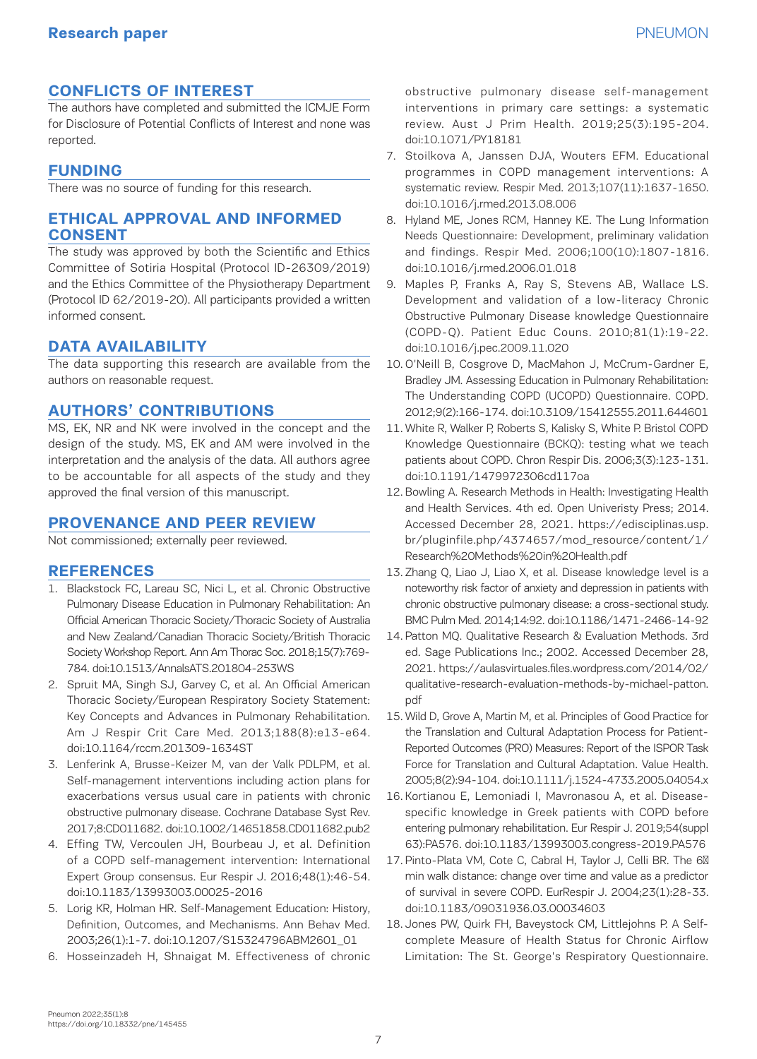# **CONFLICTS OF INTEREST**

The authors have completed and submitted the ICMJE Form for Disclosure of Potential Conflicts of Interest and none was reported.

# **FUNDING**

There was no source of funding for this research.

# **ETHICAL APPROVAL AND INFORMED CONSENT**

The study was approved by both the Scientific and Ethics Committee of Sotiria Hospital (Protocol ID-26309/2019) and the Ethics Committee of the Physiotherapy Department (Protocol ID 62/2019-20). All participants provided a written informed consent.

# **DATA AVAILABILITY**

The data supporting this research are available from the authors on reasonable request.

# **AUTHORS' CONTRIBUTIONS**

MS, EK, NR and NK were involved in the concept and the design of the study. MS, EK and AM were involved in the interpretation and the analysis of the data. All authors agree to be accountable for all aspects of the study and they approved the final version of this manuscript.

# **PROVENANCE AND PEER REVIEW**

Not commissioned; externally peer reviewed.

# **REFERENCES**

- 1. Blackstock FC, Lareau SC, Nici L, et al. Chronic Obstructive Pulmonary Disease Education in Pulmonary Rehabilitation: An Official American Thoracic Society/Thoracic Society of Australia and New Zealand/Canadian Thoracic Society/British Thoracic Society Workshop Report. Ann Am Thorac Soc. 2018;15(7):769- 784. doi:10.1513/AnnalsATS.201804-253WS
- 2. Spruit MA, Singh SJ, Garvey C, et al. An Official American Thoracic Society/European Respiratory Society Statement: Key Concepts and Advances in Pulmonary Rehabilitation. Am J Respir Crit Care Med. 2013;188(8):e13-e64. doi:10.1164/rccm.201309-1634ST
- 3. Lenferink A, Brusse-Keizer M, van der Valk PDLPM, et al. Self-management interventions including action plans for exacerbations versus usual care in patients with chronic obstructive pulmonary disease. Cochrane Database Syst Rev. 2017;8:CD011682. doi:10.1002/14651858.CD011682.pub2
- 4. Effing TW, Vercoulen JH, Bourbeau J, et al. Definition of a COPD self-management intervention: International Expert Group consensus. Eur Respir J. 2016;48(1):46-54. doi:10.1183/13993003.00025-2016
- 5. Lorig KR, Holman HR. Self-Management Education: History, Definition, Outcomes, and Mechanisms. Ann Behav Med. 2003;26(1):1-7. doi:10.1207/S15324796ABM2601\_01
- 6. Hosseinzadeh H, Shnaigat M. Effectiveness of chronic

obstructive pulmonary disease self-management interventions in primary care settings: a systematic review. Aust J Prim Health. 2019;25(3):195-204. doi:10.1071/PY18181

- 7. Stoilkova A, Janssen DJA, Wouters EFM. Educational programmes in COPD management interventions: A systematic review. Respir Med. 2013;107(11):1637-1650. doi:10.1016/j.rmed.2013.08.006
- 8. Hyland ME, Jones RCM, Hanney KE. The Lung Information Needs Questionnaire: Development, preliminary validation and findings. Respir Med. 2006;100(10):1807-1816. doi:10.1016/j.rmed.2006.01.018
- 9. Maples P, Franks A, Ray S, Stevens AB, Wallace LS. Development and validation of a low-literacy Chronic Obstructive Pulmonary Disease knowledge Questionnaire (COPD-Q). Patient Educ Couns. 2010;81(1):19-22. doi:10.1016/j.pec.2009.11.020
- 10. O'Neill B, Cosgrove D, MacMahon J, McCrum-Gardner E, Bradley JM. Assessing Education in Pulmonary Rehabilitation: The Understanding COPD (UCOPD) Questionnaire. COPD. 2012;9(2):166-174. doi:10.3109/15412555.2011.644601
- 11. White R, Walker P, Roberts S, Kalisky S, White P. Bristol COPD Knowledge Questionnaire (BCKQ): testing what we teach patients about COPD. Chron Respir Dis. 2006;3(3):123-131. doi:10.1191/1479972306cd117oa
- 12. Bowling A. Research Methods in Health: Investigating Health and Health Services. 4th ed. Open Univeristy Press; 2014. Accessed December 28, 2021. https://edisciplinas.usp. br/pluginfile.php/4374657/mod\_resource/content/1/ Research%20Methods%20in%20Health.pdf
- 13. Zhang Q, Liao J, Liao X, et al. Disease knowledge level is a noteworthy risk factor of anxiety and depression in patients with chronic obstructive pulmonary disease: a cross-sectional study. BMC Pulm Med. 2014;14:92. doi:10.1186/1471-2466-14-92
- 14. Patton MQ. Qualitative Research & Evaluation Methods. 3rd ed. Sage Publications Inc.; 2002. Accessed December 28, 2021. https://aulasvirtuales.files.wordpress.com/2014/02/ qualitative-research-evaluation-methods-by-michael-patton. pdf
- 15. Wild D, Grove A, Martin M, et al. Principles of Good Practice for the Translation and Cultural Adaptation Process for Patient-Reported Outcomes (PRO) Measures: Report of the ISPOR Task Force for Translation and Cultural Adaptation. Value Health. 2005;8(2):94-104. doi:10.1111/j.1524-4733.2005.04054.x
- 16. Kortianou E, Lemoniadi I, Mavronasou A, et al. Diseasespecific knowledge in Greek patients with COPD before entering pulmonary rehabilitation. Eur Respir J. 2019;54(suppl 63):PA576. doi:10.1183/13993003.congress-2019.PA576
- 17. Pinto-Plata VM, Cote C, Cabral H, Taylor J, Celli BR. The 6 min walk distance: change over time and value as a predictor of survival in severe COPD. EurRespir J. 2004;23(1):28-33. doi:10.1183/09031936.03.00034603
- 18. Jones PW, Quirk FH, Baveystock CM, Littlejohns P. A Selfcomplete Measure of Health Status for Chronic Airflow Limitation: The St. George's Respiratory Questionnaire.